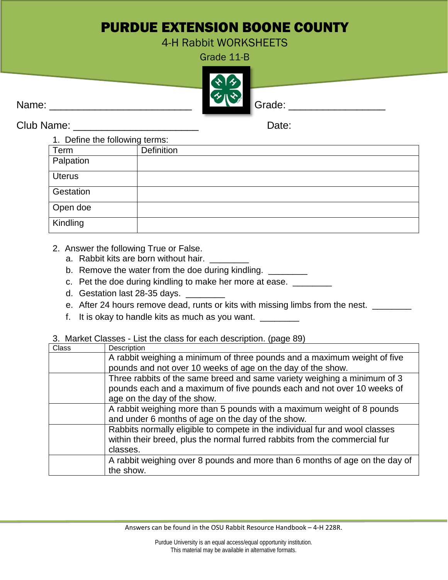## PURDUE EXTENSION BOONE COUNTY

4-H Rabbit WORKSHEETS

Grade 11-B



Club Name: \_\_\_\_\_\_\_\_\_\_\_\_\_\_\_\_\_\_\_\_\_\_ Date:

| 1. Define the following terms: |            |
|--------------------------------|------------|
| Term                           | Definition |
| Palpation                      |            |
| <b>Uterus</b>                  |            |
| Gestation                      |            |
| Open doe                       |            |
| Kindling                       |            |

- 2. Answer the following True or False.
	- a. Rabbit kits are born without hair.
	- b. Remove the water from the doe during kindling. \_\_\_\_\_\_\_\_\_
	- c. Pet the doe during kindling to make her more at ease. \_\_\_\_\_\_\_\_
	- d. Gestation last 28-35 days. \_\_\_\_\_
	- e. After 24 hours remove dead, runts or kits with missing limbs from the nest. \_\_\_\_\_\_
	- f. It is okay to handle kits as much as you want. \_\_\_\_\_\_\_\_

## 3. Market Classes - List the class for each description. (page 89)

| Class | Description                                                                 |
|-------|-----------------------------------------------------------------------------|
|       | A rabbit weighing a minimum of three pounds and a maximum weight of five    |
|       | pounds and not over 10 weeks of age on the day of the show.                 |
|       | Three rabbits of the same breed and same variety weighing a minimum of 3    |
|       | pounds each and a maximum of five pounds each and not over 10 weeks of      |
|       | age on the day of the show.                                                 |
|       | A rabbit weighing more than 5 pounds with a maximum weight of 8 pounds      |
|       | and under 6 months of age on the day of the show.                           |
|       | Rabbits normally eligible to compete in the individual fur and wool classes |
|       | within their breed, plus the normal furred rabbits from the commercial fur  |
|       | classes.                                                                    |
|       | A rabbit weighing over 8 pounds and more than 6 months of age on the day of |
|       | the show.                                                                   |